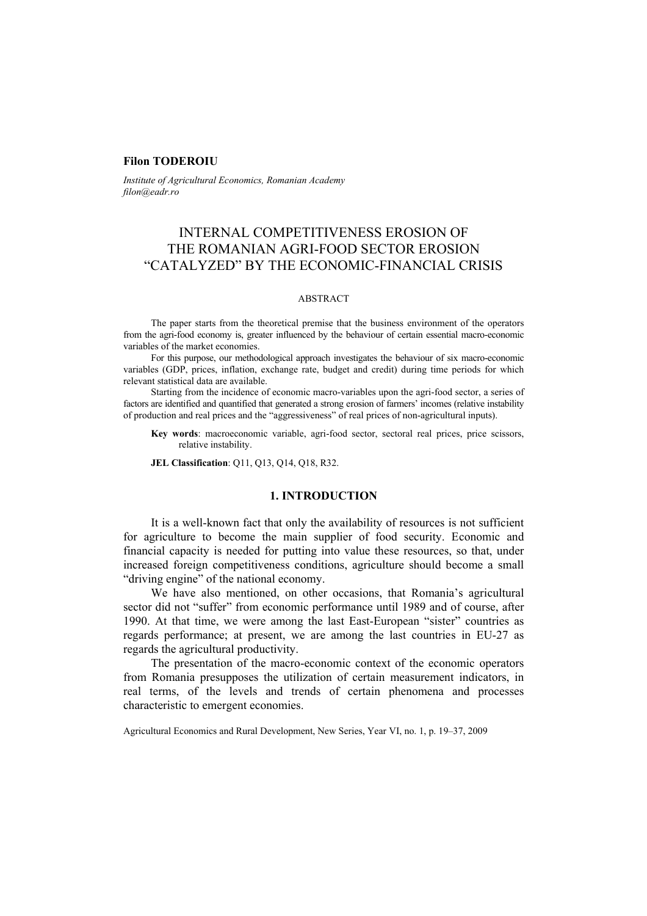## **Filon TODEROIU**

*Institute of Agricultural Economics, Romanian Academy filon@eadr.ro*

# INTERNAL COMPETITIVENESS EROSION OF THE ROMANIAN AGRI-FOOD SECTOR EROSION "CATALYZED" BY THE ECONOMIC-FINANCIAL CRISIS

#### ABSTRACT

The paper starts from the theoretical premise that the business environment of the operators from the agri-food economy is, greater influenced by the behaviour of certain essential macro-economic variables of the market economies.

For this purpose, our methodological approach investigates the behaviour of six macro-economic variables (GDP, prices, inflation, exchange rate, budget and credit) during time periods for which relevant statistical data are available.

Starting from the incidence of economic macro-variables upon the agri-food sector, a series of factors are identified and quantified that generated a strong erosion of farmers' incomes (relative instability of production and real prices and the "aggressiveness" of real prices of non-agricultural inputs).

**Key words**: macroeconomic variable, agri-food sector, sectoral real prices, price scissors, relative instability.

**JEL Classification**: Q11, Q13, Q14, Q18, R32.

## **1. INTRODUCTION**

It is a well-known fact that only the availability of resources is not sufficient for agriculture to become the main supplier of food security. Economic and financial capacity is needed for putting into value these resources, so that, under increased foreign competitiveness conditions, agriculture should become a small "driving engine" of the national economy.

We have also mentioned, on other occasions, that Romania's agricultural sector did not "suffer" from economic performance until 1989 and of course, after 1990. At that time, we were among the last East-European "sister" countries as regards performance; at present, we are among the last countries in EU-27 as regards the agricultural productivity.

The presentation of the macro-economic context of the economic operators from Romania presupposes the utilization of certain measurement indicators, in real terms, of the levels and trends of certain phenomena and processes characteristic to emergent economies.

Agricultural Economics and Rural Development, New Series, Year VI, no. 1, p. 19–37, 2009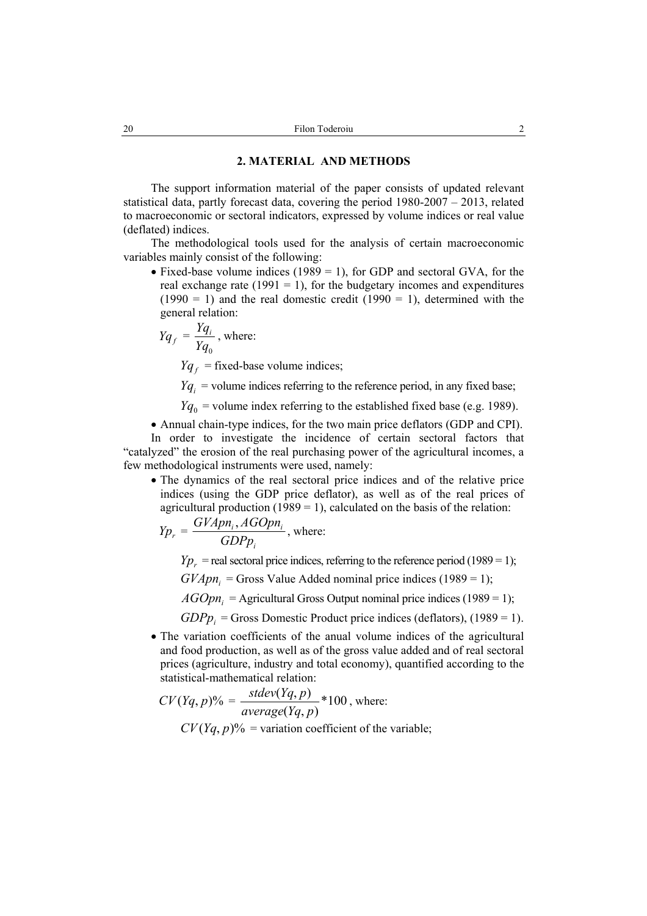#### **2. MATERIAL AND METHODS**

The support information material of the paper consists of updated relevant statistical data, partly forecast data, covering the period 1980-2007 – 2013, related to macroeconomic or sectoral indicators, expressed by volume indices or real value (deflated) indices.

The methodological tools used for the analysis of certain macroeconomic variables mainly consist of the following:

• Fixed-base volume indices (1989 = 1), for GDP and sectoral GVA, for the real exchange rate (1991 = 1), for the budgetary incomes and expenditures  $(1990 = 1)$  and the real domestic credit  $(1990 = 1)$ , determined with the general relation:

$$
Yq_f = \frac{Yq_i}{Yq_0}
$$
, where:

 $Yq_f$  = fixed-base volume indices;

 $Yq_i$  = volume indices referring to the reference period, in any fixed base;

 $Yq_0$  = volume index referring to the established fixed base (e.g. 1989).

• Annual chain-type indices, for the two main price deflators (GDP and CPI).

In order to investigate the incidence of certain sectoral factors that "catalyzed" the erosion of the real purchasing power of the agricultural incomes, a few methodological instruments were used, namely:

• The dynamics of the real sectoral price indices and of the relative price indices (using the GDP price deflator), as well as of the real prices of agricultural production  $(1989 = 1)$ , calculated on the basis of the relation:

$$
Yp_r = \frac{GYApn_i, AGOpn_i}{GDPp_i}
$$
, where:

 $Yp_r$  = real sectoral price indices, referring to the reference period (1989 = 1);

 $GVApn<sub>i</sub>$  = Gross Value Added nominal price indices (1989 = 1);

 $AGOpn_i$  = Agricultural Gross Output nominal price indices (1989 = 1);

 $GDPp_i$  = Gross Domestic Product price indices (deflators), (1989 = 1).

• The variation coefficients of the anual volume indices of the agricultural and food production, as well as of the gross value added and of real sectoral prices (agriculture, industry and total economy), quantified according to the statistical-mathematical relation:

$$
CV(Yq, p)\% = \frac{stdev(Yq, p)}{average(Yq, p)} * 100
$$
, where:  

$$
CV(Yq, p)\% = \text{variation coefficient of the variable};
$$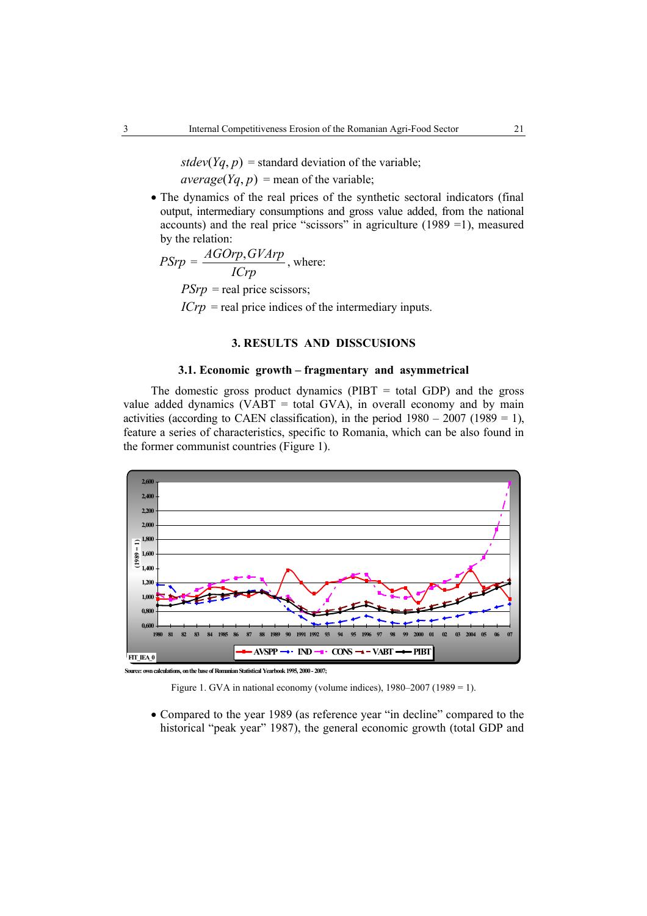$stdev(Yq, p)$  = standard deviation of the variable;  $average(Yq, p) = mean of the variable;$ 

• The dynamics of the real prices of the synthetic sectoral indicators (final output, intermediary consumptions and gross value added, from the national accounts) and the real price "scissors" in agriculture (1989 =1), measured by the relation:

$$
PSrp = \frac{AGOrp, GVArp}{ICP}
$$
, where:  
 
$$
PSrp = \text{real price scissors};
$$
  
 
$$
ICrp = \text{real price indices of the intermediary inputs}.
$$

## **3. RESULTS AND DISSCUSIONS**

## **3.1. Economic growth – fragmentary and asymmetrical**

The domestic gross product dynamics ( $PIBT = total GDP$ ) and the gross value added dynamics (VABT = total GVA), in overall economy and by main activities (according to CAEN classification), in the period  $1980 - 2007$  (1989 = 1), feature a series of characteristics, specific to Romania, which can be also found in the former communist countries (Figure 1).



**Source: own calculations, on the base of Romanian Statistical Yearbook 1995, 2000 - 2007;**

Figure 1. GVA in national economy (volume indices),  $1980-2007$  ( $1989 = 1$ ).

• Compared to the year 1989 (as reference year "in decline" compared to the historical "peak year" 1987), the general economic growth (total GDP and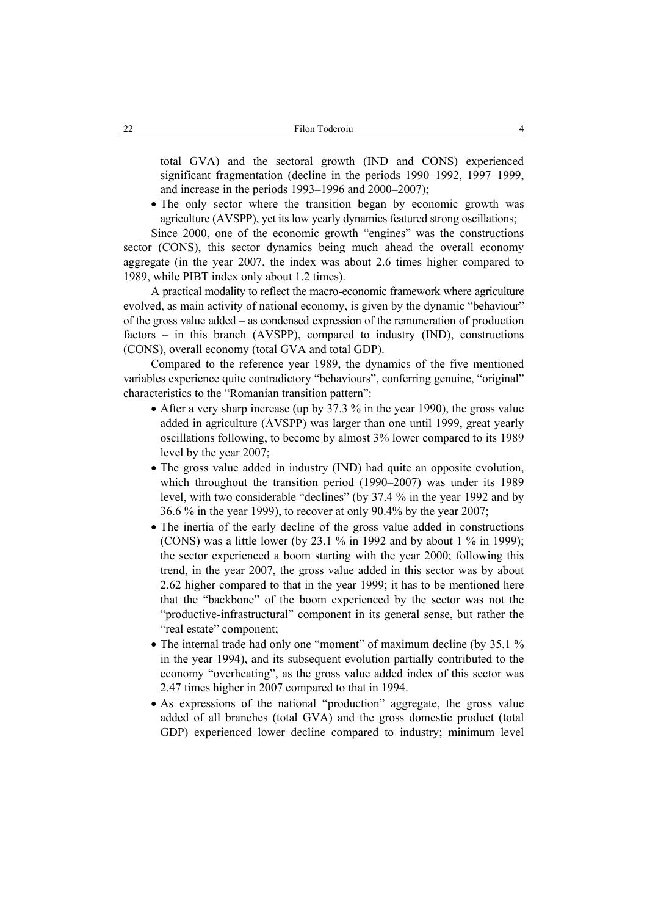total GVA) and the sectoral growth (IND and CONS) experienced significant fragmentation (decline in the periods 1990–1992, 1997–1999, and increase in the periods 1993–1996 and 2000–2007);

• The only sector where the transition began by economic growth was agriculture (AVSPP), yet its low yearly dynamics featured strong oscillations;

Since 2000, one of the economic growth "engines" was the constructions sector (CONS), this sector dynamics being much ahead the overall economy aggregate (in the year 2007, the index was about 2.6 times higher compared to 1989, while PIBT index only about 1.2 times).

A practical modality to reflect the macro-economic framework where agriculture evolved, as main activity of national economy, is given by the dynamic "behaviour" of the gross value added – as condensed expression of the remuneration of production factors – in this branch (AVSPP), compared to industry (IND), constructions (CONS), overall economy (total GVA and total GDP).

Compared to the reference year 1989, the dynamics of the five mentioned variables experience quite contradictory "behaviours", conferring genuine, "original" characteristics to the "Romanian transition pattern":

- After a very sharp increase (up by 37.3 % in the year 1990), the gross value added in agriculture (AVSPP) was larger than one until 1999, great yearly oscillations following, to become by almost 3% lower compared to its 1989 level by the year 2007;
- The gross value added in industry (IND) had quite an opposite evolution, which throughout the transition period (1990–2007) was under its 1989 level, with two considerable "declines" (by 37.4 % in the year 1992 and by 36.6 % in the year 1999), to recover at only 90.4% by the year 2007;
- The inertia of the early decline of the gross value added in constructions (CONS) was a little lower (by  $23.1 \%$  in 1992 and by about  $1 \%$  in 1999); the sector experienced a boom starting with the year 2000; following this trend, in the year 2007, the gross value added in this sector was by about 2.62 higher compared to that in the year 1999; it has to be mentioned here that the "backbone" of the boom experienced by the sector was not the "productive-infrastructural" component in its general sense, but rather the "real estate" component;
- The internal trade had only one "moment" of maximum decline (by 35.1 % in the year 1994), and its subsequent evolution partially contributed to the economy "overheating", as the gross value added index of this sector was 2.47 times higher in 2007 compared to that in 1994.
- As expressions of the national "production" aggregate, the gross value added of all branches (total GVA) and the gross domestic product (total GDP) experienced lower decline compared to industry; minimum level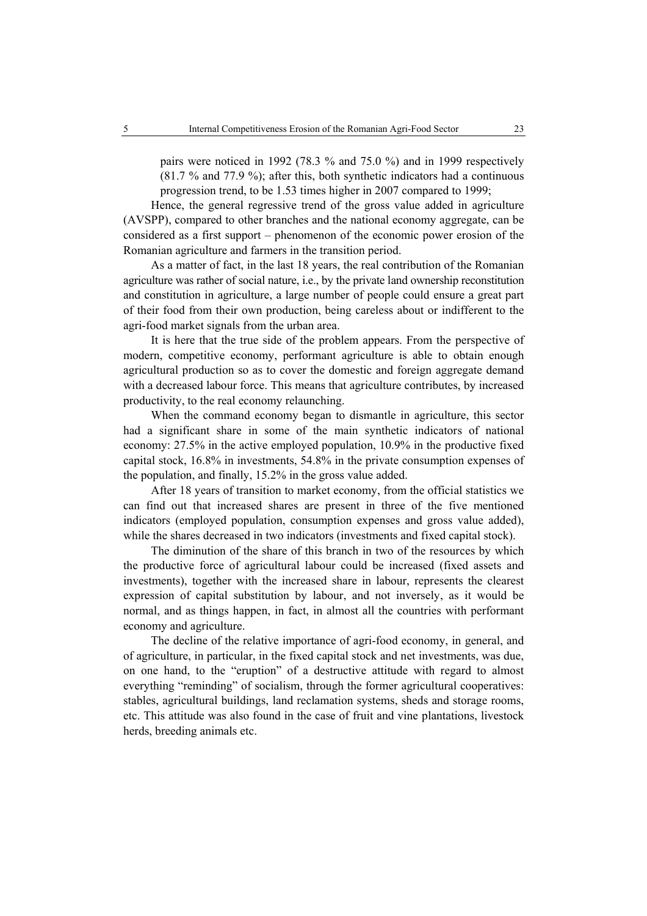pairs were noticed in 1992 (78.3 % and 75.0 %) and in 1999 respectively (81.7 % and 77.9 %); after this, both synthetic indicators had a continuous progression trend, to be 1.53 times higher in 2007 compared to 1999;

Hence, the general regressive trend of the gross value added in agriculture (AVSPP), compared to other branches and the national economy aggregate, can be considered as a first support – phenomenon of the economic power erosion of the Romanian agriculture and farmers in the transition period.

As a matter of fact, in the last 18 years, the real contribution of the Romanian agriculture was rather of social nature, i.e., by the private land ownership reconstitution and constitution in agriculture, a large number of people could ensure a great part of their food from their own production, being careless about or indifferent to the agri-food market signals from the urban area.

It is here that the true side of the problem appears. From the perspective of modern, competitive economy, performant agriculture is able to obtain enough agricultural production so as to cover the domestic and foreign aggregate demand with a decreased labour force. This means that agriculture contributes, by increased productivity, to the real economy relaunching.

When the command economy began to dismantle in agriculture, this sector had a significant share in some of the main synthetic indicators of national economy: 27.5% in the active employed population, 10.9% in the productive fixed capital stock, 16.8% in investments, 54.8% in the private consumption expenses of the population, and finally, 15.2% in the gross value added.

After 18 years of transition to market economy, from the official statistics we can find out that increased shares are present in three of the five mentioned indicators (employed population, consumption expenses and gross value added), while the shares decreased in two indicators (investments and fixed capital stock).

The diminution of the share of this branch in two of the resources by which the productive force of agricultural labour could be increased (fixed assets and investments), together with the increased share in labour, represents the clearest expression of capital substitution by labour, and not inversely, as it would be normal, and as things happen, in fact, in almost all the countries with performant economy and agriculture.

The decline of the relative importance of agri-food economy, in general, and of agriculture, in particular, in the fixed capital stock and net investments, was due, on one hand, to the "eruption" of a destructive attitude with regard to almost everything "reminding" of socialism, through the former agricultural cooperatives: stables, agricultural buildings, land reclamation systems, sheds and storage rooms, etc. This attitude was also found in the case of fruit and vine plantations, livestock herds, breeding animals etc.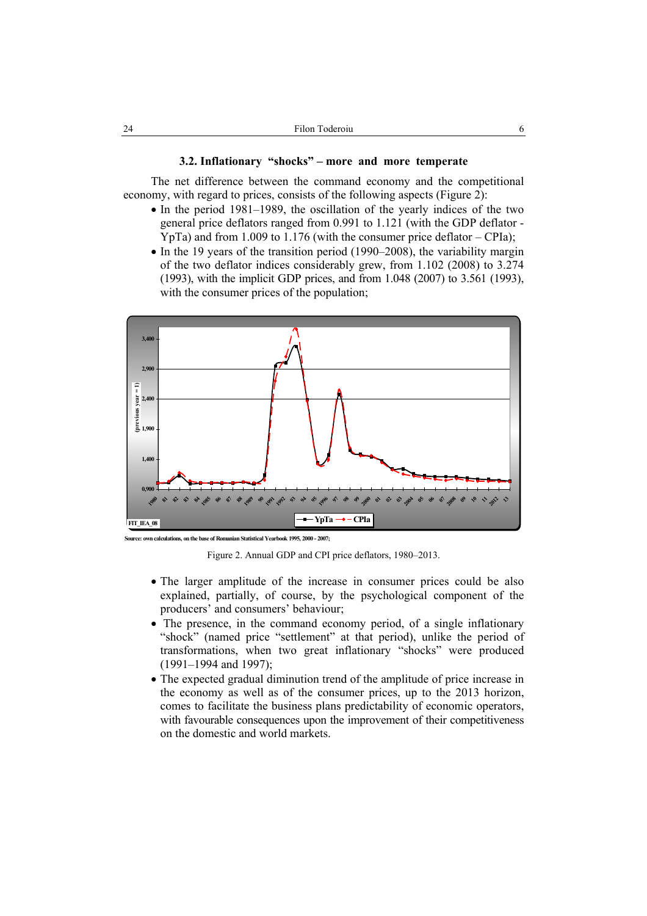#### **3.2. Inflationary "shocks" – more and more temperate**

The net difference between the command economy and the competitional economy, with regard to prices, consists of the following aspects (Figure 2):

- In the period 1981–1989, the oscillation of the yearly indices of the two general price deflators ranged from 0.991 to 1.121 (with the GDP deflator - YpTa) and from 1.009 to 1.176 (with the consumer price deflator – CPIa);
- In the 19 years of the transition period (1990–2008), the variability margin of the two deflator indices considerably grew, from 1.102 (2008) to 3.274 (1993), with the implicit GDP prices, and from 1.048 (2007) to 3.561 (1993), with the consumer prices of the population;



**Source: own calculations, on the base of Romanian Statistical Yearbook 1995, 2000 - 2007;**

Figure 2. Annual GDP and CPI price deflators, 1980–2013.

- The larger amplitude of the increase in consumer prices could be also explained, partially, of course, by the psychological component of the producers' and consumers' behaviour;
- The presence, in the command economy period, of a single inflationary "shock" (named price "settlement" at that period), unlike the period of transformations, when two great inflationary "shocks" were produced (1991–1994 and 1997);
- The expected gradual diminution trend of the amplitude of price increase in the economy as well as of the consumer prices, up to the 2013 horizon, comes to facilitate the business plans predictability of economic operators, with favourable consequences upon the improvement of their competitiveness on the domestic and world markets.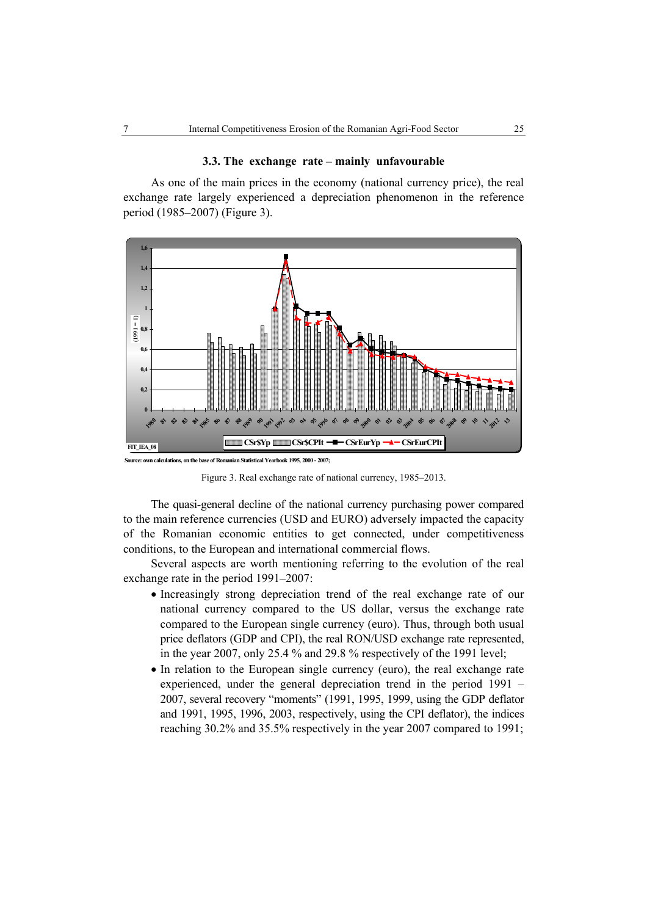#### **3.3. The exchange rate – mainly unfavourable**

As one of the main prices in the economy (national currency price), the real exchange rate largely experienced a depreciation phenomenon in the reference period (1985–2007) (Figure 3).



**Source: own calculations, on the base of Romanian Statistical Yearbook 1995, 2000 - 2007;**

Figure 3. Real exchange rate of national currency, 1985–2013.

The quasi-general decline of the national currency purchasing power compared to the main reference currencies (USD and EURO) adversely impacted the capacity of the Romanian economic entities to get connected, under competitiveness conditions, to the European and international commercial flows.

Several aspects are worth mentioning referring to the evolution of the real exchange rate in the period 1991–2007:

- Increasingly strong depreciation trend of the real exchange rate of our national currency compared to the US dollar, versus the exchange rate compared to the European single currency (euro). Thus, through both usual price deflators (GDP and CPI), the real RON/USD exchange rate represented, in the year 2007, only 25.4 % and 29.8 % respectively of the 1991 level;
- In relation to the European single currency (euro), the real exchange rate experienced, under the general depreciation trend in the period 1991 – 2007, several recovery "moments" (1991, 1995, 1999, using the GDP deflator and 1991, 1995, 1996, 2003, respectively, using the CPI deflator), the indices reaching 30.2% and 35.5% respectively in the year 2007 compared to 1991;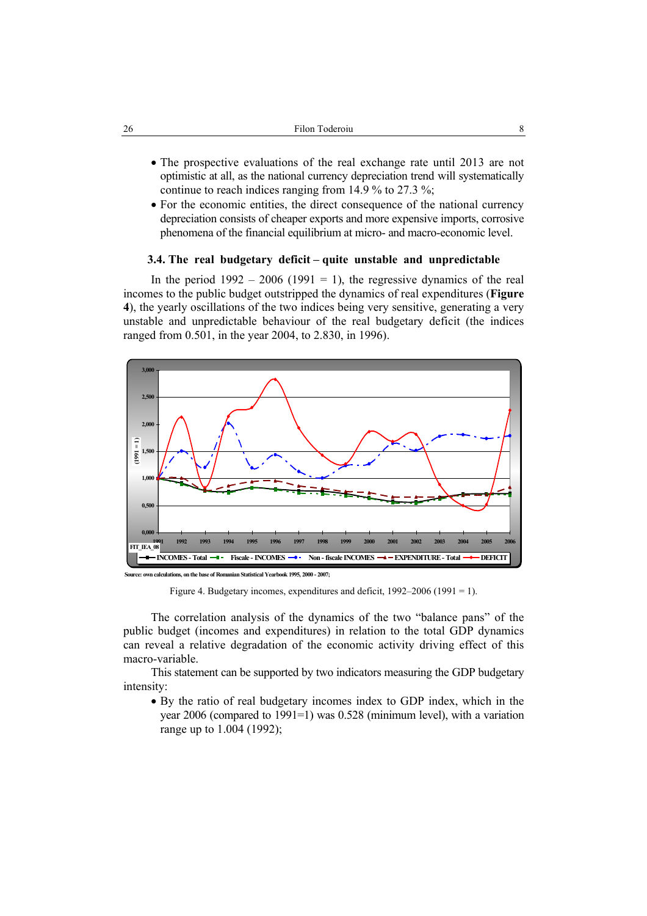- The prospective evaluations of the real exchange rate until 2013 are not optimistic at all, as the national currency depreciation trend will systematically continue to reach indices ranging from 14.9 % to 27.3 %;
- For the economic entities, the direct consequence of the national currency depreciation consists of cheaper exports and more expensive imports, corrosive phenomena of the financial equilibrium at micro- and macro-economic level.

## **3.4. The real budgetary deficit – quite unstable and unpredictable**

In the period  $1992 - 2006$  (1991 = 1), the regressive dynamics of the real incomes to the public budget outstripped the dynamics of real expenditures (**Figure 4**), the yearly oscillations of the two indices being very sensitive, generating a very unstable and unpredictable behaviour of the real budgetary deficit (the indices ranged from 0.501, in the year 2004, to 2.830, in 1996).



**Source: own calculations, on the base of Romanian Statistical Yearbook 1995, 2000 - 2007;**

Figure 4. Budgetary incomes, expenditures and deficit, 1992–2006 (1991 = 1).

The correlation analysis of the dynamics of the two "balance pans" of the public budget (incomes and expenditures) in relation to the total GDP dynamics can reveal a relative degradation of the economic activity driving effect of this macro-variable.

This statement can be supported by two indicators measuring the GDP budgetary intensity:

• By the ratio of real budgetary incomes index to GDP index, which in the year 2006 (compared to 1991=1) was 0.528 (minimum level), with a variation range up to 1.004 (1992);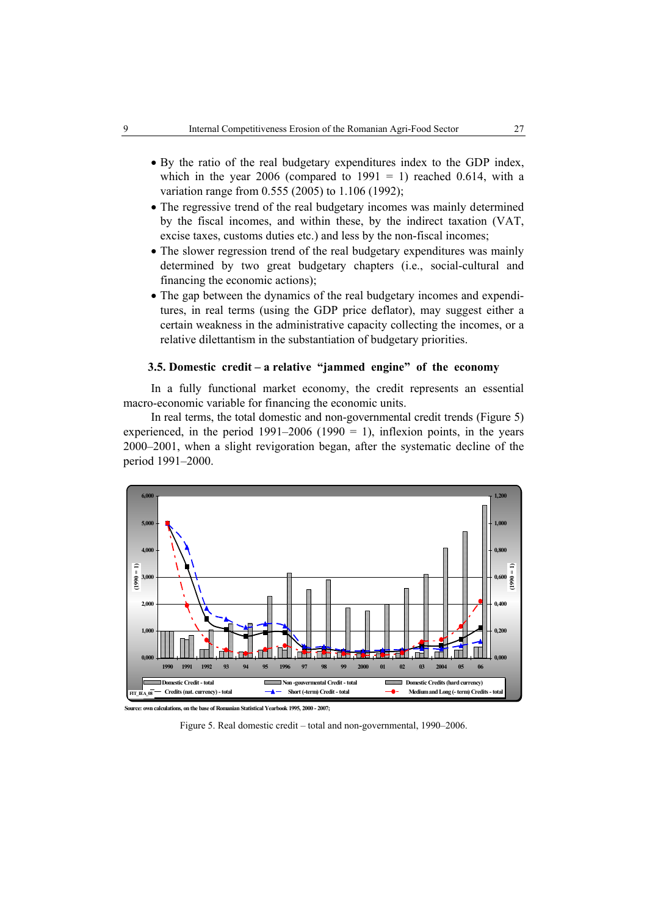- By the ratio of the real budgetary expenditures index to the GDP index, which in the year 2006 (compared to  $1991 = 1$ ) reached 0.614, with a variation range from 0.555 (2005) to 1.106 (1992);
- The regressive trend of the real budgetary incomes was mainly determined by the fiscal incomes, and within these, by the indirect taxation (VAT, excise taxes, customs duties etc.) and less by the non-fiscal incomes;
- The slower regression trend of the real budgetary expenditures was mainly determined by two great budgetary chapters (i.e., social-cultural and financing the economic actions);
- The gap between the dynamics of the real budgetary incomes and expenditures, in real terms (using the GDP price deflator), may suggest either a certain weakness in the administrative capacity collecting the incomes, or a relative dilettantism in the substantiation of budgetary priorities.

## **3.5. Domestic credit – a relative "jammed engine" of the economy**

In a fully functional market economy, the credit represents an essential macro-economic variable for financing the economic units.

In real terms, the total domestic and non-governmental credit trends (Figure 5) experienced, in the period  $1991-2006$  ( $1990 = 1$ ), inflexion points, in the years 2000–2001, when a slight revigoration began, after the systematic decline of the period 1991–2000.



**Source: own calculations, on the base of Romanian Statistical Yearbook 1995, 2000 - 2007;**

Figure 5. Real domestic credit – total and non-governmental, 1990–2006.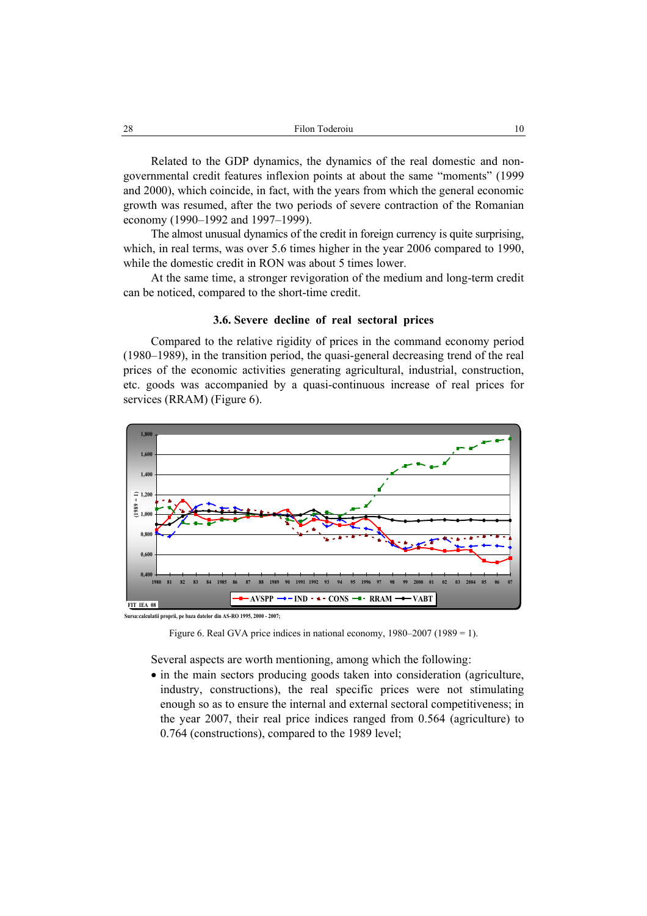Related to the GDP dynamics, the dynamics of the real domestic and nongovernmental credit features inflexion points at about the same "moments" (1999 and 2000), which coincide, in fact, with the years from which the general economic growth was resumed, after the two periods of severe contraction of the Romanian economy (1990–1992 and 1997–1999).

The almost unusual dynamics of the credit in foreign currency is quite surprising, which, in real terms, was over 5.6 times higher in the year 2006 compared to 1990, while the domestic credit in RON was about 5 times lower.

At the same time, a stronger revigoration of the medium and long-term credit can be noticed, compared to the short-time credit.

#### **3.6. Severe decline of real sectoral prices**

Compared to the relative rigidity of prices in the command economy period (1980–1989), in the transition period, the quasi-general decreasing trend of the real prices of the economic activities generating agricultural, industrial, construction, etc. goods was accompanied by a quasi-continuous increase of real prices for services (RRAM) (Figure 6).



**Sursa:calculatii proprii, pe baza datelor din AS-RO 1995, 2000 - 2007;**

Figure 6. Real GVA price indices in national economy, 1980–2007 (1989 = 1).

Several aspects are worth mentioning, among which the following:

• in the main sectors producing goods taken into consideration (agriculture, industry, constructions), the real specific prices were not stimulating enough so as to ensure the internal and external sectoral competitiveness; in the year 2007, their real price indices ranged from 0.564 (agriculture) to 0.764 (constructions), compared to the 1989 level;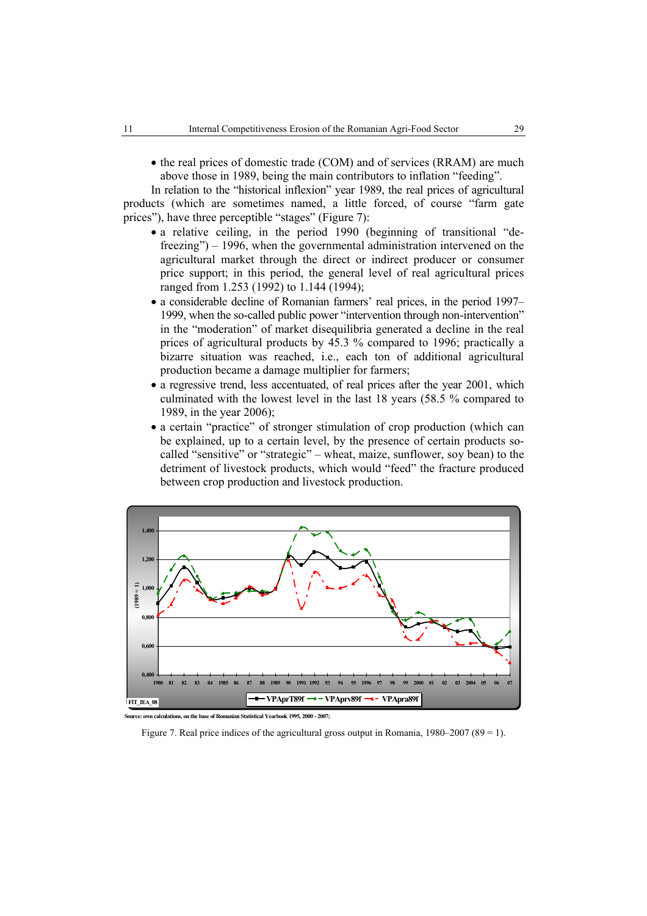• the real prices of domestic trade (COM) and of services (RRAM) are much above those in 1989, being the main contributors to inflation "feeding".

In relation to the "historical inflexion" year 1989, the real prices of agricultural products (which are sometimes named, a little forced, of course "farm gate prices"), have three perceptible "stages" (Figure 7):

- a relative ceiling, in the period 1990 (beginning of transitional "defreezing") – 1996, when the governmental administration intervened on the agricultural market through the direct or indirect producer or consumer price support; in this period, the general level of real agricultural prices ranged from 1.253 (1992) to 1.144 (1994);
- a considerable decline of Romanian farmers' real prices, in the period 1997– 1999, when the so-called public power "intervention through non-intervention" in the "moderation" of market disequilibria generated a decline in the real prices of agricultural products by 45.3 % compared to 1996; practically a bizarre situation was reached, i.e., each ton of additional agricultural production became a damage multiplier for farmers;
- a regressive trend, less accentuated, of real prices after the year 2001, which culminated with the lowest level in the last 18 years (58.5 % compared to 1989, in the year 2006);
- a certain "practice" of stronger stimulation of crop production (which can be explained, up to a certain level, by the presence of certain products socalled "sensitive" or "strategic" – wheat, maize, sunflower, soy bean) to the detriment of livestock products, which would "feed" the fracture produced between crop production and livestock production.



**Source: own calculations, on the base of Romanian Statistical Yearbook 1995, 2000 - 2007;**

Figure 7. Real price indices of the agricultural gross output in Romania,  $1980-2007 (89 = 1)$ .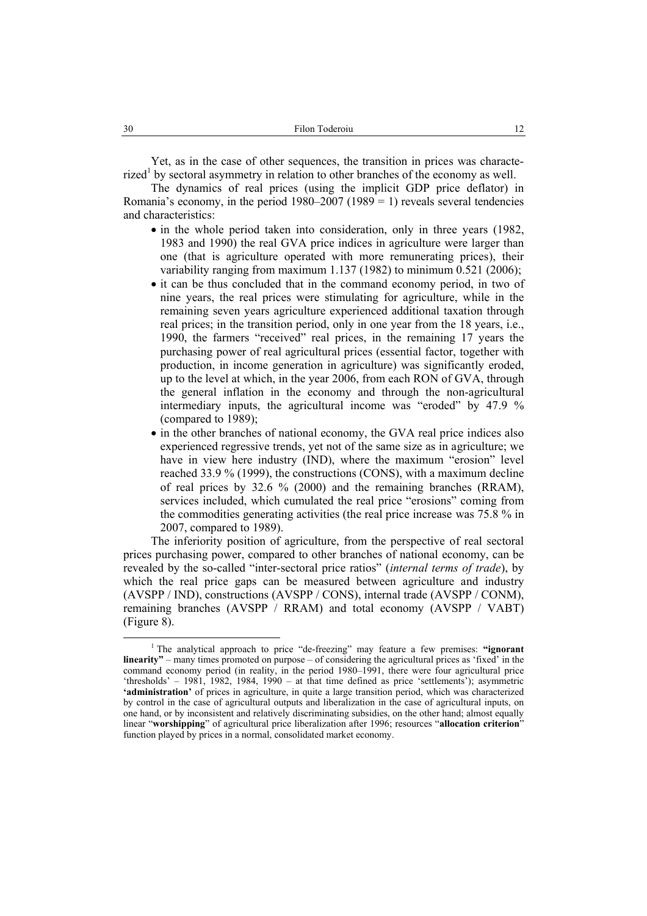Yet, as in the case of other sequences, the transition in prices was characte $rized<sup>1</sup>$  by sectoral asymmetry in relation to other branches of the economy as well.

The dynamics of real prices (using the implicit GDP price deflator) in Romania's economy, in the period  $1980-2007$  (1989 = 1) reveals several tendencies and characteristics:

- in the whole period taken into consideration, only in three years (1982, 1983 and 1990) the real GVA price indices in agriculture were larger than one (that is agriculture operated with more remunerating prices), their variability ranging from maximum 1.137 (1982) to minimum 0.521 (2006);
- it can be thus concluded that in the command economy period, in two of nine years, the real prices were stimulating for agriculture, while in the remaining seven years agriculture experienced additional taxation through real prices; in the transition period, only in one year from the 18 years, i.e., 1990, the farmers "received" real prices, in the remaining 17 years the purchasing power of real agricultural prices (essential factor, together with production, in income generation in agriculture) was significantly eroded, up to the level at which, in the year 2006, from each RON of GVA, through the general inflation in the economy and through the non-agricultural intermediary inputs, the agricultural income was "eroded" by 47.9 % (compared to 1989);
- in the other branches of national economy, the GVA real price indices also experienced regressive trends, yet not of the same size as in agriculture; we have in view here industry (IND), where the maximum "erosion" level reached 33.9 % (1999), the constructions (CONS), with a maximum decline of real prices by 32.6 % (2000) and the remaining branches (RRAM), services included, which cumulated the real price "erosions" coming from the commodities generating activities (the real price increase was 75.8 % in 2007, compared to 1989).

The inferiority position of agriculture, from the perspective of real sectoral prices purchasing power, compared to other branches of national economy, can be revealed by the so-called "inter-sectoral price ratios" (*internal terms of trade*), by which the real price gaps can be measured between agriculture and industry (AVSPP / IND), constructions (AVSPP / CONS), internal trade (AVSPP / CONM), remaining branches (AVSPP / RRAM) and total economy (AVSPP / VABT) (Figure 8).

 $\frac{1}{1}$ <sup>1</sup> The analytical approach to price "de-freezing" may feature a few premises: "ignorant **linearity"** – many times promoted on purpose – of considering the agricultural prices as 'fixed' in the command economy period (in reality, in the period 1980–1991, there were four agricultural price 'thresholds' – 1981, 1982, 1984, 1990 – at that time defined as price 'settlements'); asymmetric **'administration'** of prices in agriculture, in quite a large transition period, which was characterized by control in the case of agricultural outputs and liberalization in the case of agricultural inputs, on one hand, or by inconsistent and relatively discriminating subsidies, on the other hand; almost equally linear "**worshipping**" of agricultural price liberalization after 1996; resources "**allocation criterion**" function played by prices in a normal, consolidated market economy.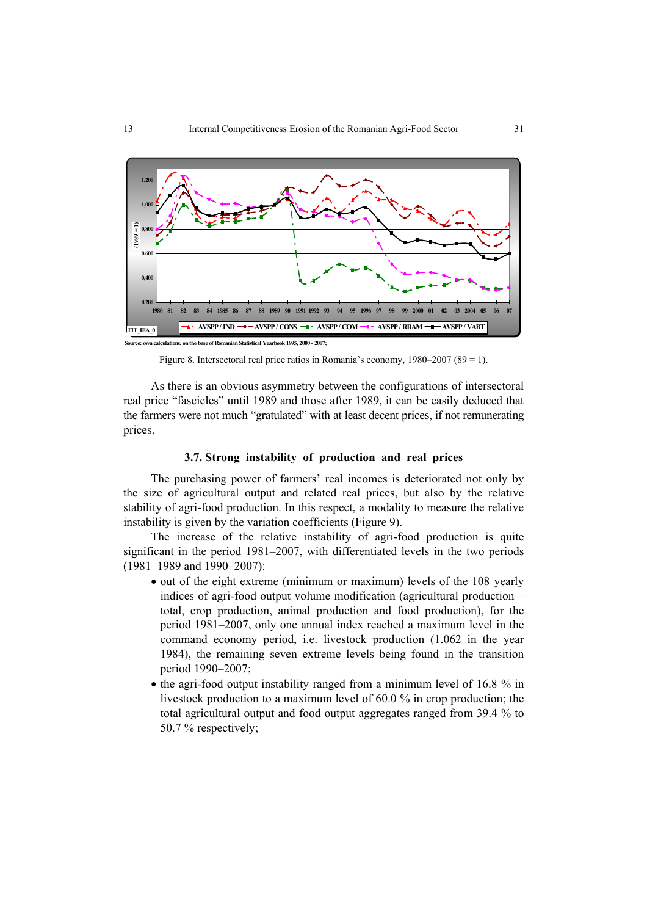

Figure 8. Intersectoral real price ratios in Romania's economy, 1980–2007 (89 = 1).

As there is an obvious asymmetry between the configurations of intersectoral real price "fascicles" until 1989 and those after 1989, it can be easily deduced that the farmers were not much "gratulated" with at least decent prices, if not remunerating prices.

## **3.7. Strong instability of production and real prices**

The purchasing power of farmers' real incomes is deteriorated not only by the size of agricultural output and related real prices, but also by the relative stability of agri-food production. In this respect, a modality to measure the relative instability is given by the variation coefficients (Figure 9).

The increase of the relative instability of agri-food production is quite significant in the period 1981–2007, with differentiated levels in the two periods (1981–1989 and 1990–2007):

- out of the eight extreme (minimum or maximum) levels of the 108 yearly indices of agri-food output volume modification (agricultural production – total, crop production, animal production and food production), for the period 1981–2007, only one annual index reached a maximum level in the command economy period, i.e. livestock production (1.062 in the year 1984), the remaining seven extreme levels being found in the transition period 1990–2007;
- the agri-food output instability ranged from a minimum level of 16.8 % in livestock production to a maximum level of 60.0 % in crop production; the total agricultural output and food output aggregates ranged from 39.4 % to 50.7 % respectively;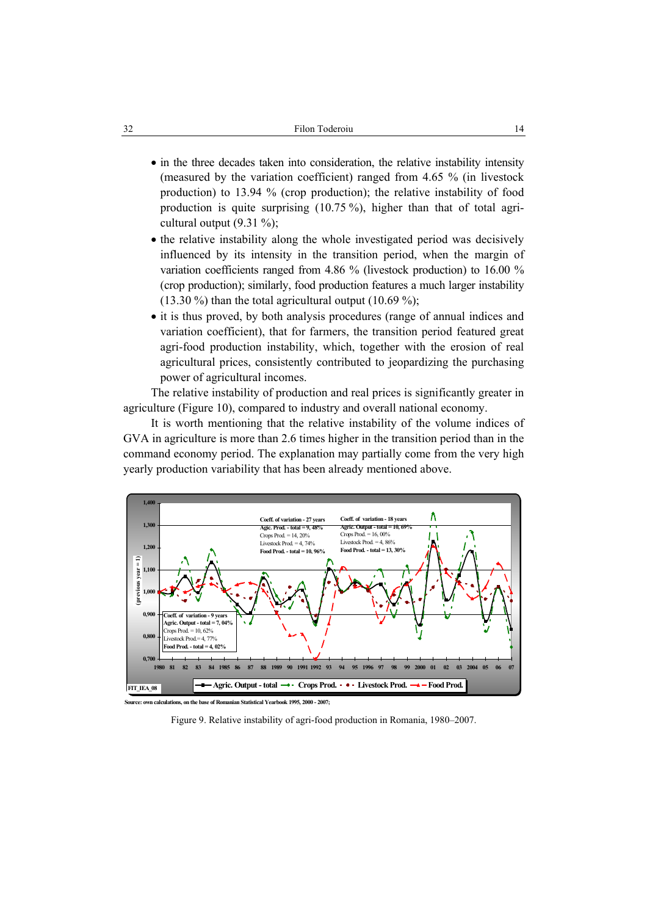- in the three decades taken into consideration, the relative instability intensity (measured by the variation coefficient) ranged from 4.65 % (in livestock production) to 13.94 % (crop production); the relative instability of food production is quite surprising (10.75 %), higher than that of total agricultural output  $(9.31 \%)$ ;
- the relative instability along the whole investigated period was decisively influenced by its intensity in the transition period, when the margin of variation coefficients ranged from 4.86 % (livestock production) to 16.00 % (crop production); similarly, food production features a much larger instability  $(13.30\%)$  than the total agricultural output  $(10.69\%)$ ;
- it is thus proved, by both analysis procedures (range of annual indices and variation coefficient), that for farmers, the transition period featured great agri-food production instability, which, together with the erosion of real agricultural prices, consistently contributed to jeopardizing the purchasing power of agricultural incomes.

The relative instability of production and real prices is significantly greater in agriculture (Figure 10), compared to industry and overall national economy.

It is worth mentioning that the relative instability of the volume indices of GVA in agriculture is more than 2.6 times higher in the transition period than in the command economy period. The explanation may partially come from the very high yearly production variability that has been already mentioned above.



Figure 9. Relative instability of agri-food production in Romania, 1980–2007.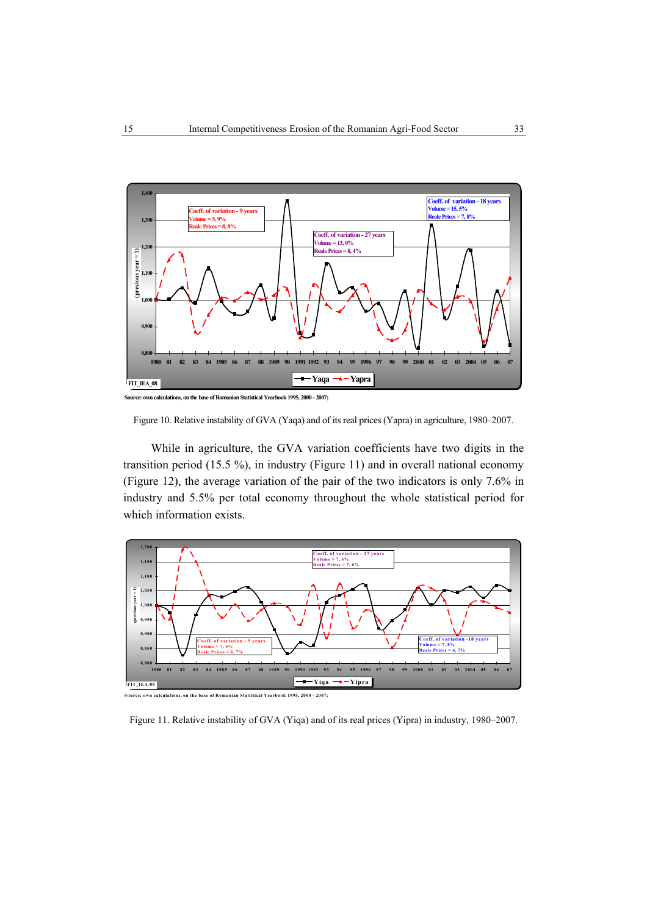

**Source: own calculations, on the base of Romanian Statistical Yearbook 1995, 2000 - 2007;**



While in agriculture, the GVA variation coefficients have two digits in the transition period (15.5 %), in industry (Figure 11) and in overall national economy (Figure 12), the average variation of the pair of the two indicators is only 7.6% in industry and 5.5% per total economy throughout the whole statistical period for which information exists.



Figure 11. Relative instability of GVA (Yiqa) and of its real prices (Yipra) in industry, 1980–2007.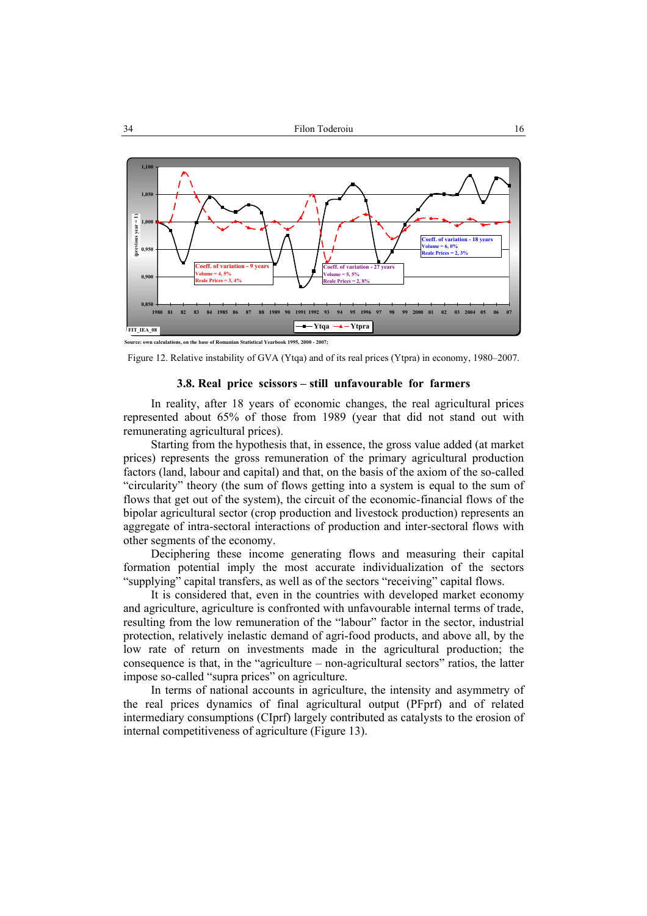

**Source: own calculations, on the base of Romanian Statistical Yearbook 1995, 2000 - 2007;**

#### **3.8. Real price scissors – still unfavourable for farmers**

In reality, after 18 years of economic changes, the real agricultural prices represented about 65% of those from 1989 (year that did not stand out with remunerating agricultural prices).

Starting from the hypothesis that, in essence, the gross value added (at market prices) represents the gross remuneration of the primary agricultural production factors (land, labour and capital) and that, on the basis of the axiom of the so-called "circularity" theory (the sum of flows getting into a system is equal to the sum of flows that get out of the system), the circuit of the economic-financial flows of the bipolar agricultural sector (crop production and livestock production) represents an aggregate of intra-sectoral interactions of production and inter-sectoral flows with other segments of the economy.

Deciphering these income generating flows and measuring their capital formation potential imply the most accurate individualization of the sectors "supplying" capital transfers, as well as of the sectors "receiving" capital flows.

It is considered that, even in the countries with developed market economy and agriculture, agriculture is confronted with unfavourable internal terms of trade, resulting from the low remuneration of the "labour" factor in the sector, industrial protection, relatively inelastic demand of agri-food products, and above all, by the low rate of return on investments made in the agricultural production; the consequence is that, in the "agriculture – non-agricultural sectors" ratios, the latter impose so-called "supra prices" on agriculture.

In terms of national accounts in agriculture, the intensity and asymmetry of the real prices dynamics of final agricultural output (PFprf) and of related intermediary consumptions (CIprf) largely contributed as catalysts to the erosion of internal competitiveness of agriculture (Figure 13).

Figure 12. Relative instability of GVA (Ytqa) and of its real prices (Ytpra) in economy, 1980–2007.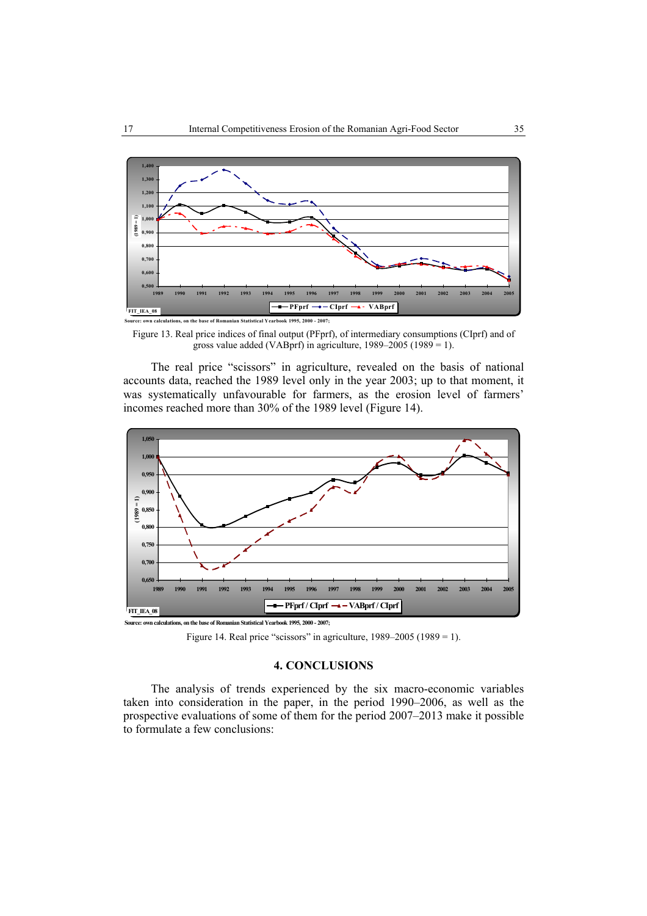

**Source: own calculations, on the base of Romanian Statistical Yearbook 1995, 2000 - 2007;**

Figure 13. Real price indices of final output (PFprf), of intermediary consumptions (CIprf) and of gross value added (VABprf) in agriculture, 1989–2005 (1989 = 1).

The real price "scissors" in agriculture, revealed on the basis of national accounts data, reached the 1989 level only in the year 2003; up to that moment, it was systematically unfavourable for farmers, as the erosion level of farmers' incomes reached more than 30% of the 1989 level (Figure 14).



**Source: own calculations, on the base of Romanian Statistical Yearbook 1995, 2000 - 2007;**

Figure 14. Real price "scissors" in agriculture,  $1989-2005$  ( $1989 = 1$ ).

#### **4. CONCLUSIONS**

The analysis of trends experienced by the six macro-economic variables taken into consideration in the paper, in the period 1990–2006, as well as the prospective evaluations of some of them for the period 2007–2013 make it possible to formulate a few conclusions: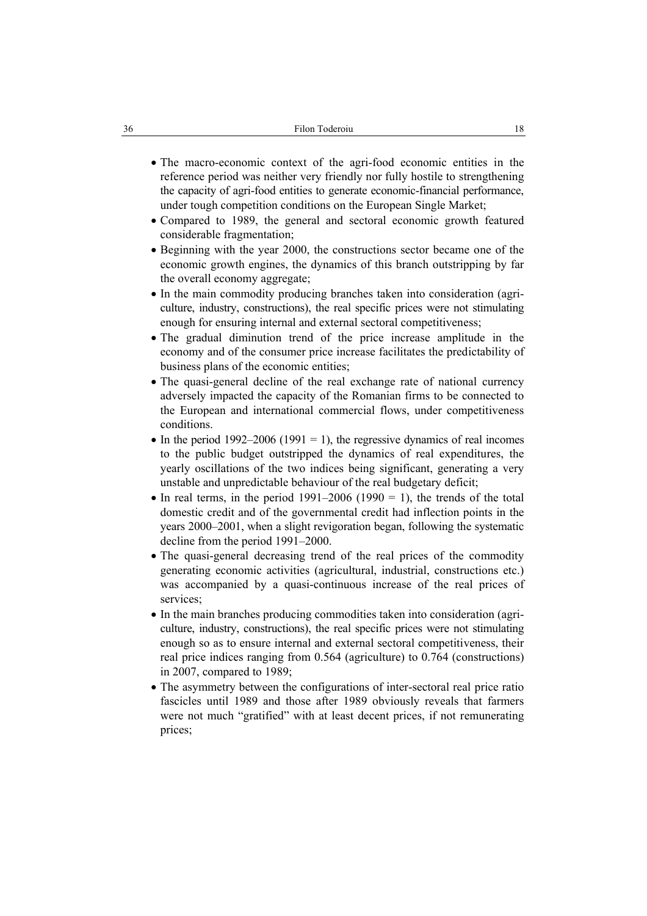- The macro-economic context of the agri-food economic entities in the reference period was neither very friendly nor fully hostile to strengthening the capacity of agri-food entities to generate economic-financial performance, under tough competition conditions on the European Single Market;
- Compared to 1989, the general and sectoral economic growth featured considerable fragmentation;
- Beginning with the year 2000, the constructions sector became one of the economic growth engines, the dynamics of this branch outstripping by far the overall economy aggregate;
- In the main commodity producing branches taken into consideration (agriculture, industry, constructions), the real specific prices were not stimulating enough for ensuring internal and external sectoral competitiveness;
- The gradual diminution trend of the price increase amplitude in the economy and of the consumer price increase facilitates the predictability of business plans of the economic entities;
- The quasi-general decline of the real exchange rate of national currency adversely impacted the capacity of the Romanian firms to be connected to the European and international commercial flows, under competitiveness conditions.
- In the period 1992–2006 (1991 = 1), the regressive dynamics of real incomes to the public budget outstripped the dynamics of real expenditures, the yearly oscillations of the two indices being significant, generating a very unstable and unpredictable behaviour of the real budgetary deficit;
- In real terms, in the period  $1991-2006$  (1990 = 1), the trends of the total domestic credit and of the governmental credit had inflection points in the years 2000–2001, when a slight revigoration began, following the systematic decline from the period 1991–2000.
- The quasi-general decreasing trend of the real prices of the commodity generating economic activities (agricultural, industrial, constructions etc.) was accompanied by a quasi-continuous increase of the real prices of services;
- In the main branches producing commodities taken into consideration (agriculture, industry, constructions), the real specific prices were not stimulating enough so as to ensure internal and external sectoral competitiveness, their real price indices ranging from 0.564 (agriculture) to 0.764 (constructions) in 2007, compared to 1989;
- The asymmetry between the configurations of inter-sectoral real price ratio fascicles until 1989 and those after 1989 obviously reveals that farmers were not much "gratified" with at least decent prices, if not remunerating prices;